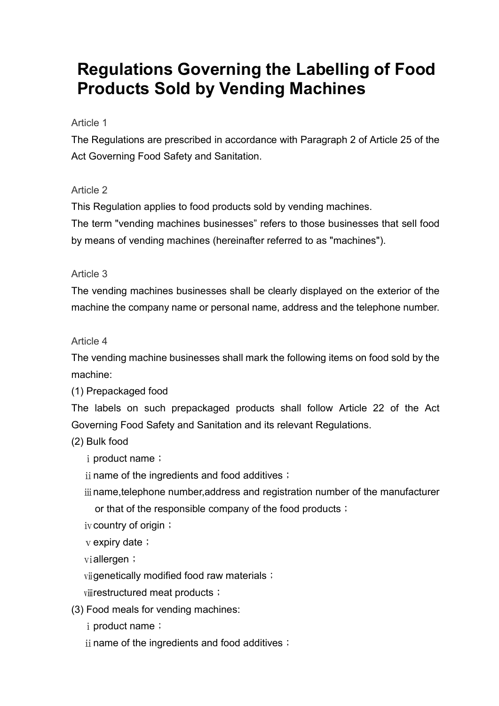# Regulations Governing the Labelling of Food Products Sold by Vending Machines

#### Article 1

The Regulations are prescribed in accordance with Paragraph 2 of Article 25 of the Act Governing Food Safety and Sanitation.

### Article 2

This Regulation applies to food products sold by vending machines.

The term "vending machines businesses" refers to those businesses that sell food by means of vending machines (hereinafter referred to as "machines").

### Article 3

The vending machines businesses shall be clearly displayed on the exterior of the machine the company name or personal name, address and the telephone number.

### Article 4

The vending machine businesses shall mark the following items on food sold by the machine:

(1) Prepackaged food

The labels on such prepackaged products shall follow Article 22 of the Act Governing Food Safety and Sanitation and its relevant Regulations.

(2) Bulk food

- i product name;
- $ii$  name of the ingredients and food additives;
- ⅲname,telephone number,address and registration number of the manufacturer or that of the responsible company of the food products;
- iv country of origin;

v expiry date;

viallergen;

vijgenetically modified food raw materials;

viirestructured meat products;

(3) Food meals for vending machines:

i product name;

 $ii$  name of the ingredients and food additives;